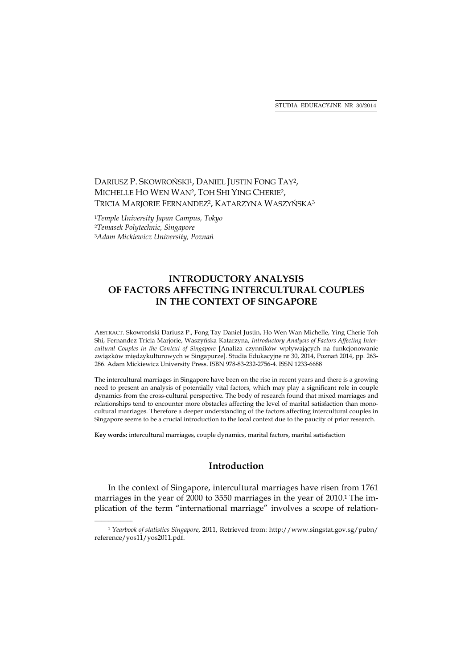STUDIA EDUKACYJNE NR 30/2014

# DARIUSZ P. SKOWROŃSKI<sup>1</sup>, DANIEL JUSTIN FONG TAY<sup>2</sup>, MICHELLE HO WEN WAN2, TOH SHI YING CHERIE2, TRICIA MARJORIE FERNANDEZ<sup>2</sup>, KATARZYNA WASZYŃSKA<sup>3</sup>

<sup>1</sup>*Temple University Japan Campus, Tokyo* <sup>2</sup>*Temasek Polytechnic, Singapore* <sup>3</sup>*Adam Mickiewicz University, Poznań*

 $\mathcal{L}_\text{max}$ 

# **INTRODUCTORY ANALYSIS OF FACTORS AFFECTING INTERCULTURAL COUPLES IN THE CONTEXT OF SINGAPORE**

ABSTRACT. Skowroński Dariusz P., Fong Tay Daniel Justin, Ho Wen Wan Michelle, Ying Cherie Toh Shi, Fernandez Tricia Marjorie, Waszyńska Katarzyna, *Introductory Analysis of Factors Affecting Intercultural Couples in the Context of Singapore* [Analiza czynników wpływających na funkcjonowanie związków międzykulturowych w Singapurze]. Studia Edukacyjne nr 30, 2014, Poznań 2014, pp. 263- 286. Adam Mickiewicz University Press. ISBN 978-83-232-2756-4. ISSN 1233-6688

The intercultural marriages in Singapore have been on the rise in recent years and there is a growing need to present an analysis of potentially vital factors, which may play a significant role in couple dynamics from the cross-cultural perspective. The body of research found that mixed marriages and relationships tend to encounter more obstacles affecting the level of marital satisfaction than monocultural marriages. Therefore a deeper understanding of the factors affecting intercultural couples in Singapore seems to be a crucial introduction to the local context due to the paucity of prior research.

**Key words:** intercultural marriages, couple dynamics, marital factors, marital satisfaction

# **Introduction**

In the context of Singapore, intercultural marriages have risen from 1761 marriages in the year of 2000 to 3550 marriages in the year of 2010.<sup>1</sup> The implication of the term "international marriage" involves a scope of relation-

<sup>1</sup> *Yearbook of statistics Singapore*, 2011, Retrieved from: http://www.singstat.gov.sg/pubn/ reference/yos11/yos2011.pdf.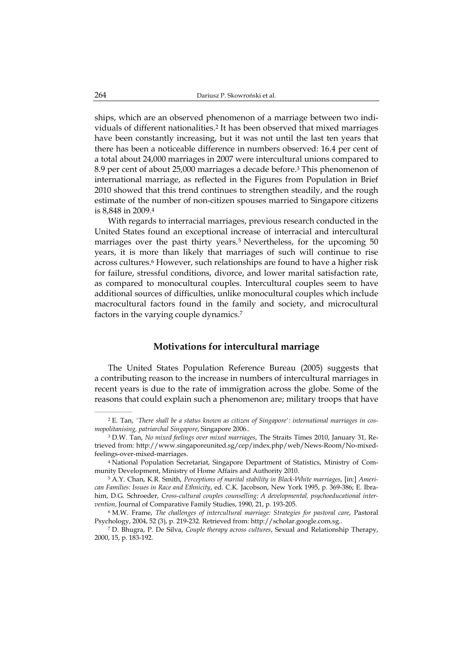ships, which are an observed phenomenon of a marriage between two individuals of different nationalities.2 It has been observed that mixed marriages have been constantly increasing, but it was not until the last ten years that there has been a noticeable difference in numbers observed: 16.4 per cent of a total about 24,000 marriages in 2007 were intercultural unions compared to 8.9 per cent of about 25,000 marriages a decade before.3 This phenomenon of international marriage, as reflected in the Figures from Population in Brief 2010 showed that this trend continues to strengthen steadily, and the rough estimate of the number of non-citizen spouses married to Singapore citizens is 8,848 in 2009.4

With regards to interracial marriages, previous research conducted in the United States found an exceptional increase of interracial and intercultural marriages over the past thirty years.<sup>5</sup> Nevertheless, for the upcoming 50 years, it is more than likely that marriages of such will continue to rise across cultures.6 However, such relationships are found to have a higher risk for failure, stressful conditions, divorce, and lower marital satisfaction rate, as compared to monocultural couples. Intercultural couples seem to have additional sources of difficulties, unlike monocultural couples which include macrocultural factors found in the family and society, and microcultural factors in the varying couple dynamics.7

#### **Motivations for intercultural marriage**

The United States Population Reference Bureau (2005) suggests that a contributing reason to the increase in numbers of intercultural marriages in recent years is due to the rate of immigration across the globe. Some of the reasons that could explain such a phenomenon are; military troops that have

 $\mathcal{L}=\mathcal{L}^{\mathcal{L}}$  , where  $\mathcal{L}^{\mathcal{L}}$ 

<sup>2</sup> E. Tan, *'There shall be a status known as citizen of Singapore': international marriages in cosmopolitanising, patriarchal Singapore*, Singapore 2006..

<sup>3</sup> D.W. Tan, *No mixed feelings over mixed marriages*, The Straits Times 2010, January 31, Retrieved from: http://www.singaporeunited.sg/cep/index.php/web/News-Room/No-mixedfeelings-over-mixed-marriages.

<sup>4</sup> National Population Secretariat, Singapore Department of Statistics, Ministry of Community Development, Ministry of Home Affairs and Authority 2010.

<sup>5</sup> A.Y. Chan, K.R. Smith, *Perceptions of marital stability in Black-White marriages*, [in:] *American Families: Issues in Race and Ethnicity*, ed. C.K. Jacobson, New York 1995, p. 369-386; E. Ibrahim, D.G. Schroeder, *Cross-cultural couples counselling: A developmental, psychoeducational intervention*, Journal of Comparative Family Studies, 1990, 21, p. 193-205.

<sup>6</sup> M.W. Frame, *The challenges of intercultural marriage: Strategies for pastoral care*, Pastoral Psychology, 2004, 52 (3), p. 219-232. Retrieved from: http://scholar.google.com.sg..

<sup>7</sup> D. Bhugra, P. De Silva, *Couple therapy across cultures*, Sexual and Relationship Therapy, 2000, 15, p. 183-192.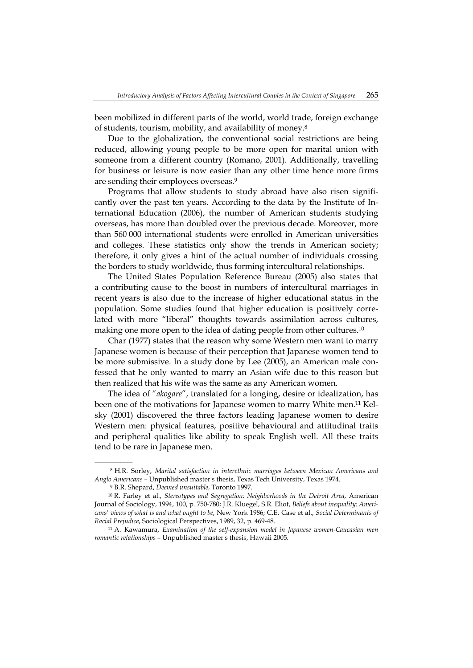been mobilized in different parts of the world, world trade, foreign exchange of students, tourism, mobility, and availability of money.8

Due to the globalization, the conventional social restrictions are being reduced, allowing young people to be more open for marital union with someone from a different country (Romano, 2001). Additionally, travelling for business or leisure is now easier than any other time hence more firms are sending their employees overseas.9

Programs that allow students to study abroad have also risen significantly over the past ten years. According to the data by the Institute of International Education (2006), the number of American students studying overseas, has more than doubled over the previous decade. Moreover, more than 560 000 international students were enrolled in American universities and colleges. These statistics only show the trends in American society; therefore, it only gives a hint of the actual number of individuals crossing the borders to study worldwide, thus forming intercultural relationships.

The United States Population Reference Bureau (2005) also states that a contributing cause to the boost in numbers of intercultural marriages in recent years is also due to the increase of higher educational status in the population. Some studies found that higher education is positively correlated with more "liberal" thoughts towards assimilation across cultures, making one more open to the idea of dating people from other cultures.<sup>10</sup>

Char (1977) states that the reason why some Western men want to marry Japanese women is because of their perception that Japanese women tend to be more submissive. In a study done by Lee (2005), an American male confessed that he only wanted to marry an Asian wife due to this reason but then realized that his wife was the same as any American women.

The idea of "*akogare*", translated for a longing, desire or idealization, has been one of the motivations for Japanese women to marry White men.11 Kelsky (2001) discovered the three factors leading Japanese women to desire Western men: physical features, positive behavioural and attitudinal traits and peripheral qualities like ability to speak English well. All these traits tend to be rare in Japanese men.

 $\mathcal{L}=\mathcal{L}=\mathcal{L}=\mathcal{L}=\mathcal{L}=\mathcal{L}$ 

<sup>8</sup> H.R. Sorley, *Marital satisfaction in interethnic marriages between Mexican Americans and Anglo Americans* – Unpublished master's thesis, Texas Tech University, Texas 1974.

<sup>9</sup> B.R. Shepard, *Deemed unsuitable*, Toronto 1997.

<sup>10</sup> R. Farley et al., *Stereotypes and Segregation: Neighborhoods in the Detroit Area*, American Journal of Sociology, 1994, 100, p. 750-780; J.R. Kluegel, S.R. Eliot, *Beliefs about inequality: Americans' views of what is and what ought to be*, New York 1986; C.E. Case et al., *Social Determinants of Racial Prejudice*, Sociological Perspectives, 1989, 32, p. 469-48.

<sup>11</sup> A. Kawamura, *Examination of the self-expansion model in Japanese women-Caucasian men romantic relationships* – Unpublished master's thesis, Hawaii 2005.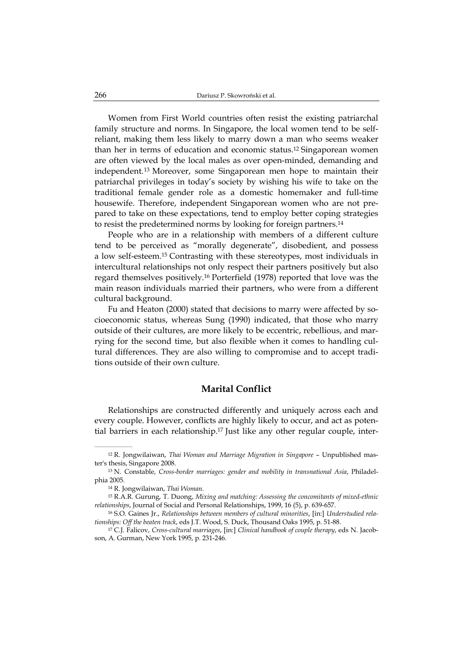Women from First World countries often resist the existing patriarchal family structure and norms. In Singapore, the local women tend to be selfreliant, making them less likely to marry down a man who seems weaker than her in terms of education and economic status.12 Singaporean women are often viewed by the local males as over open-minded, demanding and independent.13 Moreover, some Singaporean men hope to maintain their patriarchal privileges in today's society by wishing his wife to take on the traditional female gender role as a domestic homemaker and full-time housewife. Therefore, independent Singaporean women who are not prepared to take on these expectations, tend to employ better coping strategies to resist the predetermined norms by looking for foreign partners.14

People who are in a relationship with members of a different culture tend to be perceived as "morally degenerate", disobedient, and possess a low self-esteem.15 Contrasting with these stereotypes, most individuals in intercultural relationships not only respect their partners positively but also regard themselves positively.16 Porterfield (1978) reported that love was the main reason individuals married their partners, who were from a different cultural background.

Fu and Heaton (2000) stated that decisions to marry were affected by socioeconomic status, whereas Sung (1990) indicated, that those who marry outside of their cultures, are more likely to be eccentric, rebellious, and marrying for the second time, but also flexible when it comes to handling cultural differences. They are also willing to compromise and to accept traditions outside of their own culture.

# **Marital Conflict**

Relationships are constructed differently and uniquely across each and every couple. However, conflicts are highly likely to occur, and act as potential barriers in each relationship.17 Just like any other regular couple, inter-

<sup>12</sup> R. Jongwilaiwan, *Thai Woman and Marriage Migration in Singapore* – Unpublished master's thesis, Singapore 2008.

<sup>13</sup> N. Constable, *Cross-border marriages: gender and mobility in transnational Asia*, Philadelphia 2005.

<sup>14</sup> R. Jongwilaiwan, *Thai Woman*.

<sup>15</sup> R.A.R. Gurung, T. Duong, *Mixing and matching: Assessing the concomitants of mixed-ethnic relationships*, Journal of Social and Personal Relationships, 1999, 16 (5), p. 639-657.

<sup>16</sup> S.O. Gaines Jr., *Relationships between members of cultural minorities*, [in:] *Understudied relationships: Off the beaten track*, eds J.T. Wood, S. Duck, Thousand Oaks 1995, p. 51-88. 17 C.J. Falicov, *Cross-cultural marriages*, [in:] *Clinical handbook of couple therapy*, eds N. Jacob-

son, A. Gurman, New York 1995, p. 231-246.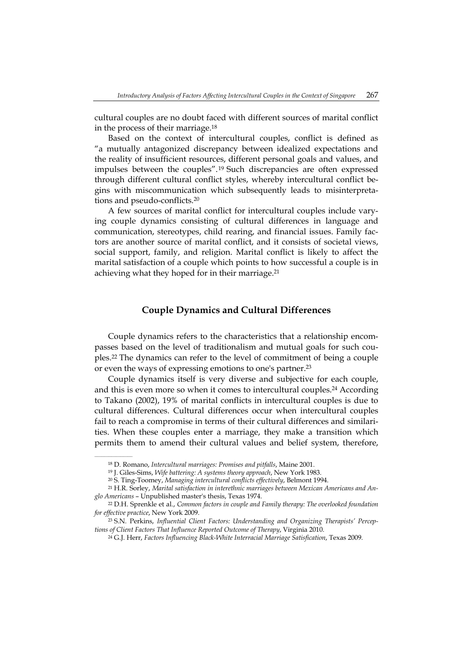cultural couples are no doubt faced with different sources of marital conflict in the process of their marriage.18

Based on the context of intercultural couples, conflict is defined as "a mutually antagonized discrepancy between idealized expectations and the reality of insufficient resources, different personal goals and values, and impulses between the couples".19 Such discrepancies are often expressed through different cultural conflict styles, whereby intercultural conflict begins with miscommunication which subsequently leads to misinterpretations and pseudo-conflicts.20

A few sources of marital conflict for intercultural couples include varying couple dynamics consisting of cultural differences in language and communication, stereotypes, child rearing, and financial issues. Family factors are another source of marital conflict, and it consists of societal views, social support, family, and religion. Marital conflict is likely to affect the marital satisfaction of a couple which points to how successful a couple is in achieving what they hoped for in their marriage.<sup>21</sup>

### **Couple Dynamics and Cultural Differences**

Couple dynamics refers to the characteristics that a relationship encompasses based on the level of traditionalism and mutual goals for such couples.22 The dynamics can refer to the level of commitment of being a couple or even the ways of expressing emotions to one's partner.23

Couple dynamics itself is very diverse and subjective for each couple, and this is even more so when it comes to intercultural couples.24 According to Takano (2002), 19% of marital conflicts in intercultural couples is due to cultural differences. Cultural differences occur when intercultural couples fail to reach a compromise in terms of their cultural differences and similarities. When these couples enter a marriage, they make a transition which permits them to amend their cultural values and belief system, therefore,

<sup>&</sup>lt;sup>18</sup> D. Romano, *Intercultural marriages: Promises and pitfalls*, Maine 2001.<br><sup>19</sup> J. Giles-Sims, *Wife battering: A systems theory approach*, New York 1983.<br><sup>20</sup> S. Ting-Toomey, *Managing intercultural conflicts effective glo Americans* – Unpublished master's thesis, Texas 1974. 22 D.H. Sprenkle et al., *Common factors in couple and Family therapy: The overlooked foundation* 

*for effective practice*, New York 2009.

<sup>23</sup> S.N. Perkins, *Influential Client Factors: Understanding and Organizing Therapists' Perceptions of Client Factors That Influence Reported Outcome of Therapy*, Virginia 2010.

<sup>24</sup> G.J. Herr, *Factors Influencing Black-White Interracial Marriage Satisfication*, Texas 2009*.*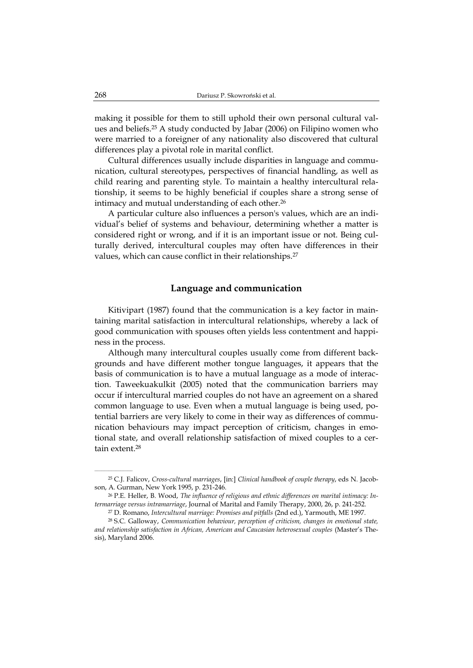making it possible for them to still uphold their own personal cultural values and beliefs.25 A study conducted by Jabar (2006) on Filipino women who were married to a foreigner of any nationality also discovered that cultural differences play a pivotal role in marital conflict.

Cultural differences usually include disparities in language and communication, cultural stereotypes, perspectives of financial handling, as well as child rearing and parenting style. To maintain a healthy intercultural relationship, it seems to be highly beneficial if couples share a strong sense of intimacy and mutual understanding of each other.<sup>26</sup>

A particular culture also influences a person's values, which are an individual's belief of systems and behaviour, determining whether a matter is considered right or wrong, and if it is an important issue or not. Being culturally derived, intercultural couples may often have differences in their values, which can cause conflict in their relationships.<sup>27</sup>

#### **Language and communication**

Kitivipart (1987) found that the communication is a key factor in maintaining marital satisfaction in intercultural relationships, whereby a lack of good communication with spouses often yields less contentment and happiness in the process.

Although many intercultural couples usually come from different backgrounds and have different mother tongue languages, it appears that the basis of communication is to have a mutual language as a mode of interaction. Taweekuakulkit (2005) noted that the communication barriers may occur if intercultural married couples do not have an agreement on a shared common language to use. Even when a mutual language is being used, potential barriers are very likely to come in their way as differences of communication behaviours may impact perception of criticism, changes in emotional state, and overall relationship satisfaction of mixed couples to a certain extent.28

<sup>25</sup> C.J. Falicov, *Cross-cultural marriages*, [in:] *Clinical handbook of couple therapy*, eds N. Jacobson, A. Gurman, New York 1995, p. 231-246.

<sup>26</sup> P.E. Heller, B. Wood, *The influence of religious and ethnic differences on marital intimacy: Intermarriage versus intramarriage*, Journal of Marital and Family Therapy, 2000, 26, p. 241-252.

<sup>27</sup> D. Romano, *Intercultural marriage: Promises and pitfalls* (2nd ed.), Yarmouth, ME 1997.

<sup>28</sup> S.C. Galloway, *Communication behaviour, perception of criticism, changes in emotional state, and relationship satisfaction in African, American and Caucasian heterosexual couples* (Master's Thesis), Maryland 2006.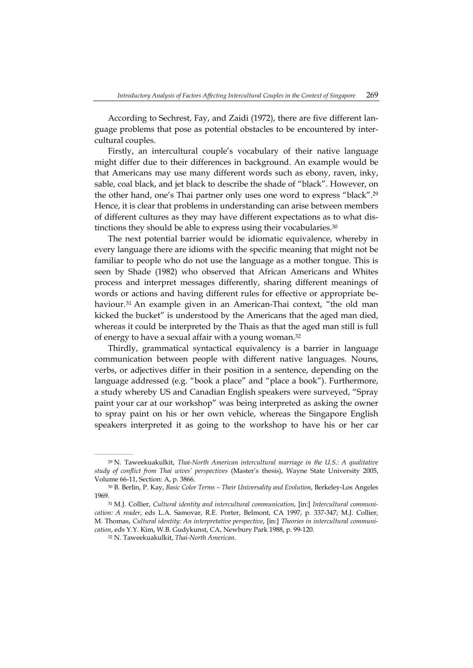According to Sechrest, Fay, and Zaidi (1972), there are five different language problems that pose as potential obstacles to be encountered by intercultural couples.

Firstly, an intercultural couple's vocabulary of their native language might differ due to their differences in background. An example would be that Americans may use many different words such as ebony, raven, inky, sable, coal black, and jet black to describe the shade of "black". However, on the other hand, one's Thai partner only uses one word to express "black".29 Hence, it is clear that problems in understanding can arise between members of different cultures as they may have different expectations as to what distinctions they should be able to express using their vocabularies.<sup>30</sup>

The next potential barrier would be idiomatic equivalence, whereby in every language there are idioms with the specific meaning that might not be familiar to people who do not use the language as a mother tongue. This is seen by Shade (1982) who observed that African Americans and Whites process and interpret messages differently, sharing different meanings of words or actions and having different rules for effective or appropriate behaviour.<sup>31</sup> An example given in an American-Thai context, "the old man kicked the bucket" is understood by the Americans that the aged man died, whereas it could be interpreted by the Thais as that the aged man still is full of energy to have a sexual affair with a young woman.32

Thirdly, grammatical syntactical equivalency is a barrier in language communication between people with different native languages. Nouns, verbs, or adjectives differ in their position in a sentence, depending on the language addressed (e.g. "book a place" and "place a book"). Furthermore, a study whereby US and Canadian English speakers were surveyed, "Spray paint your car at our workshop" was being interpreted as asking the owner to spray paint on his or her own vehicle, whereas the Singapore English speakers interpreted it as going to the workshop to have his or her car

 $\mathcal{L}=\mathcal{L}=\mathcal{L}=\mathcal{L}=\mathcal{L}=\mathcal{L}$ 

<sup>29</sup> N. Taweekuakulkit, *Thai-North American intercultural marriage in the U.S.: A qualitative study of conflict from Thai wives' perspectives* (Master's thesis), Wayne State University 2005, Volume 66-11, Section: A, p. 3866.

<sup>30</sup> B. Berlin, P. Kay, *Basic Color Terms – Their Universality and Evolution*, Berkeley-Los Angeles 1969.

<sup>31</sup> M.J. Collier, *Cultural identity and intercultural communication*, [in:] *Intercultural communication: A reader*, eds L.A. Samovar, R.E. Porter, Belmont, CA 1997, p. 337-347; M.J. Collier, M. Thomas, *Cultural identity: An interpretative perspective*, [in:] *Theories in intercultural communication*, eds Y.Y. Kim, W.B. Gudykunst, CA, Newbury Park 1988, p. 99-120.

<sup>32</sup> N. Taweekuakulkit, *Thai-North American*.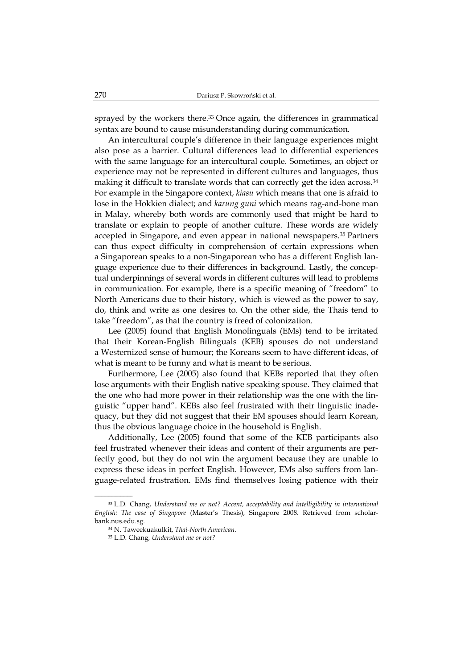sprayed by the workers there.<sup>33</sup> Once again, the differences in grammatical syntax are bound to cause misunderstanding during communication.

An intercultural couple's difference in their language experiences might also pose as a barrier. Cultural differences lead to differential experiences with the same language for an intercultural couple. Sometimes, an object or experience may not be represented in different cultures and languages, thus making it difficult to translate words that can correctly get the idea across.<sup>34</sup> For example in the Singapore context, *kiasu* which means that one is afraid to lose in the Hokkien dialect; and *karung guni* which means rag-and-bone man in Malay, whereby both words are commonly used that might be hard to translate or explain to people of another culture. These words are widely accepted in Singapore, and even appear in national newspapers.35 Partners can thus expect difficulty in comprehension of certain expressions when a Singaporean speaks to a non-Singaporean who has a different English language experience due to their differences in background. Lastly, the conceptual underpinnings of several words in different cultures will lead to problems in communication. For example, there is a specific meaning of "freedom" to North Americans due to their history, which is viewed as the power to say, do, think and write as one desires to. On the other side, the Thais tend to take "freedom", as that the country is freed of colonization.

Lee (2005) found that English Monolinguals (EMs) tend to be irritated that their Korean-English Bilinguals (KEB) spouses do not understand a Westernized sense of humour; the Koreans seem to have different ideas, of what is meant to be funny and what is meant to be serious.

Furthermore, Lee (2005) also found that KEBs reported that they often lose arguments with their English native speaking spouse. They claimed that the one who had more power in their relationship was the one with the linguistic "upper hand". KEBs also feel frustrated with their linguistic inadequacy, but they did not suggest that their EM spouses should learn Korean, thus the obvious language choice in the household is English.

Additionally, Lee (2005) found that some of the KEB participants also feel frustrated whenever their ideas and content of their arguments are perfectly good, but they do not win the argument because they are unable to express these ideas in perfect English. However, EMs also suffers from language-related frustration. EMs find themselves losing patience with their

<sup>33</sup> L.D. Chang, *Understand me or not? Accent, acceptability and intelligibility in international English: The case of Singapore* (Master's Thesis), Singapore 2008. Retrieved from scholarbank.nus.edu.sg.

<sup>34</sup> N. Taweekuakulkit, *Thai-North American*.

<sup>35</sup> L.D. Chang, *Understand me or not?*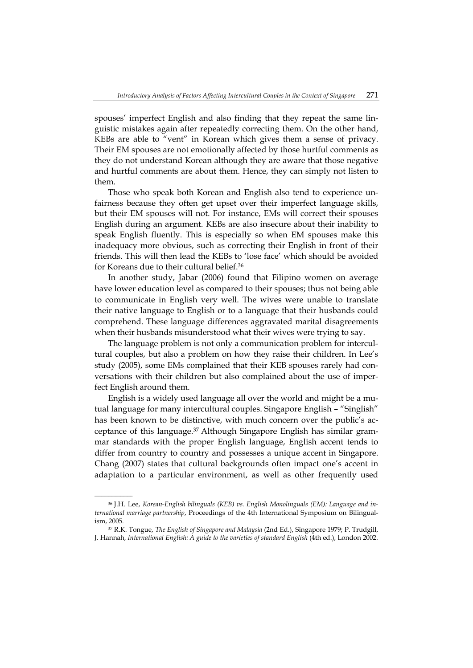spouses' imperfect English and also finding that they repeat the same linguistic mistakes again after repeatedly correcting them. On the other hand, KEBs are able to "vent" in Korean which gives them a sense of privacy. Their EM spouses are not emotionally affected by those hurtful comments as they do not understand Korean although they are aware that those negative and hurtful comments are about them. Hence, they can simply not listen to them.

Those who speak both Korean and English also tend to experience unfairness because they often get upset over their imperfect language skills, but their EM spouses will not. For instance, EMs will correct their spouses English during an argument. KEBs are also insecure about their inability to speak English fluently. This is especially so when EM spouses make this inadequacy more obvious, such as correcting their English in front of their friends. This will then lead the KEBs to 'lose face' which should be avoided for Koreans due to their cultural belief.36

In another study, Jabar (2006) found that Filipino women on average have lower education level as compared to their spouses; thus not being able to communicate in English very well. The wives were unable to translate their native language to English or to a language that their husbands could comprehend. These language differences aggravated marital disagreements when their husbands misunderstood what their wives were trying to say.

The language problem is not only a communication problem for intercultural couples, but also a problem on how they raise their children. In Lee's study (2005), some EMs complained that their KEB spouses rarely had conversations with their children but also complained about the use of imperfect English around them.

English is a widely used language all over the world and might be a mutual language for many intercultural couples. Singapore English – "Singlish" has been known to be distinctive, with much concern over the public's acceptance of this language.37 Although Singapore English has similar grammar standards with the proper English language, English accent tends to differ from country to country and possesses a unique accent in Singapore. Chang (2007) states that cultural backgrounds often impact one's accent in adaptation to a particular environment, as well as other frequently used

<sup>36</sup> J.H. Lee, *Korean-English bilinguals (KEB) vs. English Monolinguals (EM): Language and international marriage partnership*, Proceedings of the 4th International Symposium on Bilingualism, 2005.

<sup>37</sup> R.K. Tongue, *The English of Singapore and Malaysia* (2nd Ed.), Singapore 1979; P. Trudgill, J. Hannah, *International English: A guide to the varieties of standard English* (4th ed.), London 2002.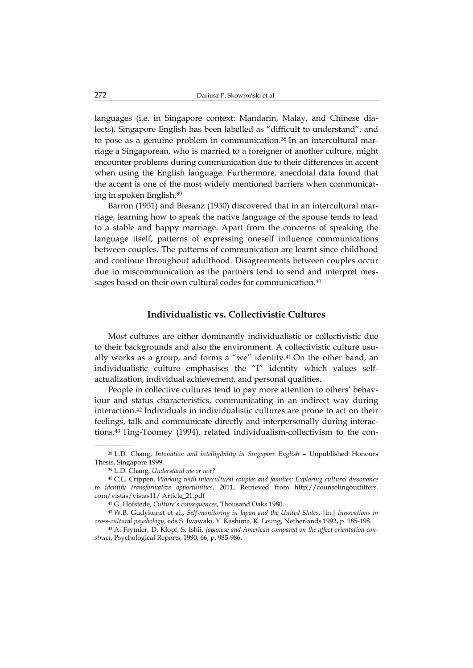languages (i.e. in Singapore context: Mandarin, Malay, and Chinese dialects). Singapore English has been labelled as "difficult to understand", and to pose as a genuine problem in communication.<sup>38</sup> In an intercultural marriage a Singaporean, who is married to a foreigner of another culture, might encounter problems during communication due to their differences in accent when using the English language. Furthermore, anecdotal data found that the accent is one of the most widely mentioned barriers when communicating in spoken English.39

Barron (1951) and Biesanz (1950) discovered that in an intercultural marriage, learning how to speak the native language of the spouse tends to lead to a stable and happy marriage. Apart from the concerns of speaking the language itself, patterns of expressing oneself influence communications between couples. The patterns of communication are learnt since childhood and continue throughout adulthood. Disagreements between couples occur due to miscommunication as the partners tend to send and interpret messages based on their own cultural codes for communication.<sup>40</sup>

#### **Individualistic vs. Collectivistic Cultures**

Most cultures are either dominantly individualistic or collectivistic due to their backgrounds and also the environment. A collectivistic culture usually works as a group, and forms a "we" identity. $41$  On the other hand, an individualistic culture emphasises the "I" identity which values selfactualization, individual achievement, and personal qualities.

People in collective cultures tend to pay more attention to others' behaviour and status characteristics, communicating in an indirect way during interaction.42 Individuals in individualistic cultures are prone to act on their feelings, talk and communicate directly and interpersonally during interactions.43 Ting-Toomey (1994), related individualism-collectivism to the con-

<sup>38</sup> L.D. Chang, *Intonation and intelligibility in Singapore English* – Unpublished Honours Thesis, Singapore 1999.

<sup>39</sup> L.D. Chang, *Understand me or not?*

<sup>40</sup> C.L. Crippen, *Working with intercultural couples and families: Exploring cultural dissonance to identify transformative opportunities*, 2011, Retrieved from http://counselingoutfitters. com/vistas/vistas11/ Article\_21.pdf

<sup>41</sup> G. Hofstede, *Culture's consequences*, Thousand Oaks 1980.

<sup>42</sup> W.B. Gudykunst et al., *Self-monitoring in Japan and the United States*, [in:] *Innovations in cross-cultural psychology*, eds S. Iwawaki, Y. Kashima, K. Leung, Netherlands 1992, p. 185-198.

<sup>43</sup> A. Frymier, D. Klopf, S. Ishii, *Japanese and American compared on the affect orientation construct*, Psychological Reports, 1990, 66, p. 985-986.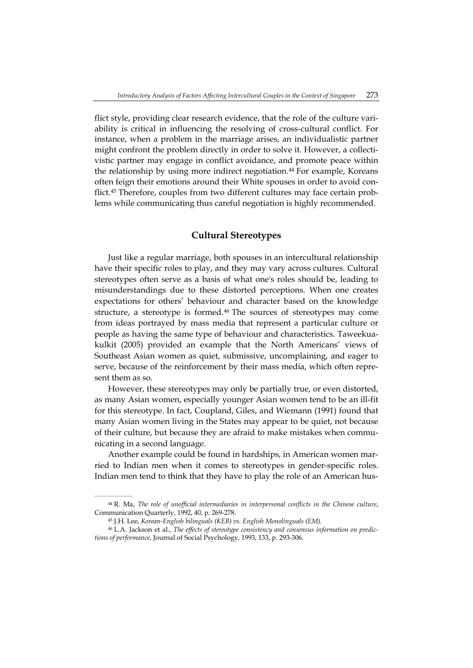flict style, providing clear research evidence, that the role of the culture variability is critical in influencing the resolving of cross-cultural conflict. For instance, when a problem in the marriage arises, an individualistic partner might confront the problem directly in order to solve it. However, a collectivistic partner may engage in conflict avoidance, and promote peace within the relationship by using more indirect negotiation.<sup>44</sup> For example, Koreans often feign their emotions around their White spouses in order to avoid conflict.45 Therefore, couples from two different cultures may face certain problems while communicating thus careful negotiation is highly recommended.

### **Cultural Stereotypes**

Just like a regular marriage, both spouses in an intercultural relationship have their specific roles to play, and they may vary across cultures. Cultural stereotypes often serve as a basis of what one's roles should be, leading to misunderstandings due to these distorted perceptions. When one creates expectations for others' behaviour and character based on the knowledge structure, a stereotype is formed.46 The sources of stereotypes may come from ideas portrayed by mass media that represent a particular culture or people as having the same type of behaviour and characteristics. Taweekuakulkit (2005) provided an example that the North Americans' views of Southeast Asian women as quiet, submissive, uncomplaining, and eager to serve, because of the reinforcement by their mass media, which often represent them as so.

However, these stereotypes may only be partially true, or even distorted, as many Asian women, especially younger Asian women tend to be an ill-fit for this stereotype. In fact, Coupland, Giles, and Wiemann (1991) found that many Asian women living in the States may appear to be quiet, not because of their culture, but because they are afraid to make mistakes when communicating in a second language.

Another example could be found in hardships, in American women married to Indian men when it comes to stereotypes in gender-specific roles. Indian men tend to think that they have to play the role of an American hus-

<sup>44</sup> R. Ma, *The role of unofficial intermediaries in interpersonal conflicts in the Chinese culture*, Communication Quarterly, 1992, 40, p. 269-278.

<sup>45</sup> J.H. Lee, *Korean-English bilinguals (KEB) vs. English Monolinguals (EM)*.

<sup>46</sup> L.A. Jackson et al., *The effects of stereotype consistency and consensus information on predictions of performance*, Journal of Social Psychology, 1993, 133, p. 293-306.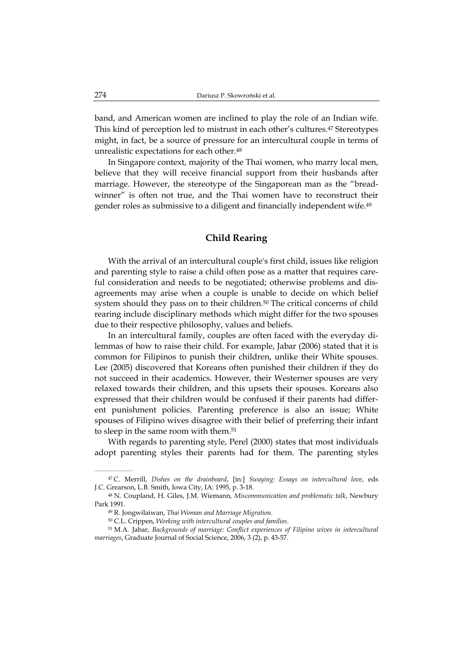band, and American women are inclined to play the role of an Indian wife. This kind of perception led to mistrust in each other's cultures.47 Stereotypes might, in fact, be a source of pressure for an intercultural couple in terms of unrealistic expectations for each other.48

In Singapore context, majority of the Thai women, who marry local men, believe that they will receive financial support from their husbands after marriage. However, the stereotype of the Singaporean man as the "breadwinner" is often not true, and the Thai women have to reconstruct their gender roles as submissive to a diligent and financially independent wife.49

# **Child Rearing**

With the arrival of an intercultural couple's first child, issues like religion and parenting style to raise a child often pose as a matter that requires careful consideration and needs to be negotiated; otherwise problems and disagreements may arise when a couple is unable to decide on which belief system should they pass on to their children.<sup>50</sup> The critical concerns of child rearing include disciplinary methods which might differ for the two spouses due to their respective philosophy, values and beliefs.

In an intercultural family, couples are often faced with the everyday dilemmas of how to raise their child. For example, Jabar (2006) stated that it is common for Filipinos to punish their children, unlike their White spouses. Lee (2005) discovered that Koreans often punished their children if they do not succeed in their academics. However, their Westerner spouses are very relaxed towards their children, and this upsets their spouses. Koreans also expressed that their children would be confused if their parents had different punishment policies. Parenting preference is also an issue; White spouses of Filipino wives disagree with their belief of preferring their infant to sleep in the same room with them.<sup>51</sup>

With regards to parenting style, Perel (2000) states that most individuals adopt parenting styles their parents had for them. The parenting styles

<sup>47</sup> C. Merrill, *Dishes on the drainboard*, [in:] *Swaying: Essays on intercultural love*, eds J.C. Grearson, L.B. Smith, Iowa City, IA: 1995, p. 3-18.

<sup>48</sup> N. Coupland, H. Giles, J.M. Wiemann, *Miscommunication and problematic talk*, Newbury Park 1991.

<sup>49</sup> R. Jongwilaiwan, *Thai Woman and Marriage Migration*.

<sup>50</sup> C.L. Crippen, *Working with intercultural couples and families*.

<sup>51</sup> M.A. Jabar, *Backgrounds of marriage: Conflict experiences of Filipino wives in intercultural marriages*, Graduate Journal of Social Science, 2006, 3 (2), p. 43-57.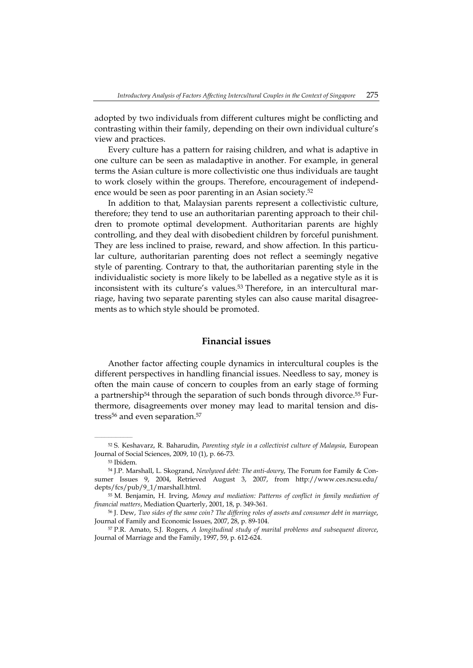adopted by two individuals from different cultures might be conflicting and contrasting within their family, depending on their own individual culture's view and practices.

Every culture has a pattern for raising children, and what is adaptive in one culture can be seen as maladaptive in another. For example, in general terms the Asian culture is more collectivistic one thus individuals are taught to work closely within the groups. Therefore, encouragement of independence would be seen as poor parenting in an Asian society.52

In addition to that, Malaysian parents represent a collectivistic culture, therefore; they tend to use an authoritarian parenting approach to their children to promote optimal development. Authoritarian parents are highly controlling, and they deal with disobedient children by forceful punishment. They are less inclined to praise, reward, and show affection. In this particular culture, authoritarian parenting does not reflect a seemingly negative style of parenting. Contrary to that, the authoritarian parenting style in the individualistic society is more likely to be labelled as a negative style as it is inconsistent with its culture's values.<sup>53</sup> Therefore, in an intercultural marriage, having two separate parenting styles can also cause marital disagreements as to which style should be promoted.

### **Financial issues**

Another factor affecting couple dynamics in intercultural couples is the different perspectives in handling financial issues. Needless to say, money is often the main cause of concern to couples from an early stage of forming a partnership<sup>54</sup> through the separation of such bonds through divorce.<sup>55</sup> Furthermore, disagreements over money may lead to marital tension and distress<sup>56</sup> and even separation.<sup>57</sup>

<sup>52</sup> S. Keshavarz, R. Baharudin, *Parenting style in a collectivist culture of Malaysia*, European Journal of Social Sciences, 2009, 10 (1), p. 66-73.

<sup>53</sup> Ibidem.

<sup>54</sup> J.P. Marshall, L. Skogrand, *Newlywed debt: The anti-dowry*, The Forum for Family & Consumer Issues 9, 2004, Retrieved August 3, 2007, from http://www.ces.ncsu.edu/ depts/fcs/pub/9\_1/marshall.html.

<sup>55</sup> M. Benjamin, H. Irving, *Money and mediation: Patterns of conflict in family mediation of financial matters*, Mediation Quarterly, 2001, 18, p. 349-361.

<sup>56</sup> J. Dew, *Two sides of the same coin? The differing roles of assets and consumer debt in marriage*, Journal of Family and Economic Issues, 2007, 28, p. 89-104.

<sup>57</sup> P.R. Amato, S.J. Rogers, *A longitudinal study of marital problems and subsequent divorce*, Journal of Marriage and the Family, 1997, 59, p. 612-624.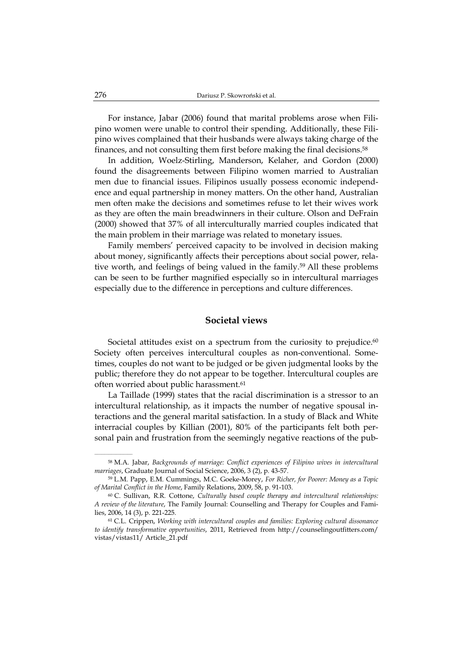For instance, Jabar (2006) found that marital problems arose when Filipino women were unable to control their spending. Additionally, these Filipino wives complained that their husbands were always taking charge of the finances, and not consulting them first before making the final decisions.<sup>58</sup>

In addition, Woelz-Stirling, Manderson, Kelaher, and Gordon (2000) found the disagreements between Filipino women married to Australian men due to financial issues. Filipinos usually possess economic independence and equal partnership in money matters. On the other hand, Australian men often make the decisions and sometimes refuse to let their wives work as they are often the main breadwinners in their culture. Olson and DeFrain (2000) showed that 37% of all interculturally married couples indicated that the main problem in their marriage was related to monetary issues.

Family members' perceived capacity to be involved in decision making about money, significantly affects their perceptions about social power, relative worth, and feelings of being valued in the family.59 All these problems can be seen to be further magnified especially so in intercultural marriages especially due to the difference in perceptions and culture differences.

#### **Societal views**

Societal attitudes exist on a spectrum from the curiosity to prejudice.<sup>60</sup> Society often perceives intercultural couples as non-conventional. Sometimes, couples do not want to be judged or be given judgmental looks by the public; therefore they do not appear to be together. Intercultural couples are often worried about public harassment.61

La Taillade (1999) states that the racial discrimination is a stressor to an intercultural relationship, as it impacts the number of negative spousal interactions and the general marital satisfaction. In a study of Black and White interracial couples by Killian (2001), 80% of the participants felt both personal pain and frustration from the seemingly negative reactions of the pub-

 $\mathcal{L}=\mathcal{L}=\mathcal{L}=\mathcal{L}=\mathcal{L}=\mathcal{L}$ 

<sup>58</sup> M.A. Jabar, *Backgrounds of marriage: Conflict experiences of Filipino wives in intercultural marriages*, Graduate Journal of Social Science, 2006, 3 (2), p. 43-57.

<sup>59</sup> L.M. Papp, E.M. Cummings, M.C. Goeke-Morey, *For Richer, for Poorer: Money as a Topic of Marital Conflict in the Home*, Family Relations, 2009, 58, p. 91-103.

<sup>60</sup> C. Sullivan, R.R. Cottone, *Culturally based couple therapy and intercultural relationships: A review of the literature*, The Family Journal: Counselling and Therapy for Couples and Families, 2006, 14 (3), p. 221-225.

<sup>61</sup> C.L. Crippen, *Working with intercultural couples and families: Exploring cultural dissonance to identify transformative opportunities*, 2011, Retrieved from http://counselingoutfitters.com/ vistas/vistas11/ Article\_21.pdf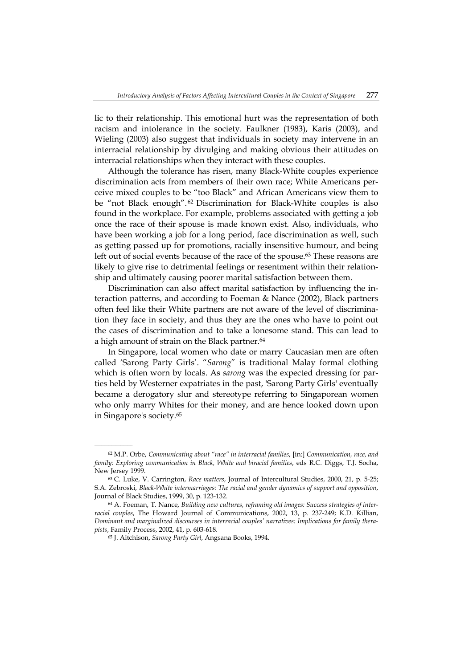lic to their relationship. This emotional hurt was the representation of both racism and intolerance in the society. Faulkner (1983), Karis (2003), and Wieling (2003) also suggest that individuals in society may intervene in an interracial relationship by divulging and making obvious their attitudes on interracial relationships when they interact with these couples.

Although the tolerance has risen, many Black-White couples experience discrimination acts from members of their own race; White Americans perceive mixed couples to be "too Black" and African Americans view them to be "not Black enough". 62 Discrimination for Black-White couples is also found in the workplace. For example, problems associated with getting a job once the race of their spouse is made known exist. Also, individuals, who have been working a job for a long period, face discrimination as well, such as getting passed up for promotions, racially insensitive humour, and being left out of social events because of the race of the spouse.<sup>63</sup> These reasons are likely to give rise to detrimental feelings or resentment within their relationship and ultimately causing poorer marital satisfaction between them.

Discrimination can also affect marital satisfaction by influencing the interaction patterns, and according to Foeman & Nance (2002), Black partners often feel like their White partners are not aware of the level of discrimination they face in society, and thus they are the ones who have to point out the cases of discrimination and to take a lonesome stand. This can lead to a high amount of strain on the Black partner.<sup>64</sup>

In Singapore, local women who date or marry Caucasian men are often called 'Sarong Party Girls'. "*Sarong*" is traditional Malay formal clothing which is often worn by locals. As *sarong* was the expected dressing for parties held by Westerner expatriates in the past, 'Sarong Party Girls' eventually became a derogatory slur and stereotype referring to Singaporean women who only marry Whites for their money, and are hence looked down upon in Singapore's society.65

<sup>62</sup> M.P. Orbe, *Communicating about "race" in interracial families*, [in:] *Communication, race, and family: Exploring communication in Black, White and biracial families*, eds R.C. Diggs, T.J. Socha, New Jersey 1999.

<sup>63</sup> C. Luke, V. Carrington, *Race matters*, Journal of Intercultural Studies, 2000, 21, p. 5-25; S.A. Zebroski, *Black-White intermarriages: The racial and gender dynamics of support and opposition*, Journal of Black Studies, 1999, 30, p. 123-132.

<sup>64</sup> A. Foeman, T. Nance, *Building new cultures, reframing old images: Success strategies of interracial couples*, The Howard Journal of Communications, 2002, 13, p. 237-249; K.D. Killian, *Dominant and marginalized discourses in interracial couples' narratives: Implications for family therapists*, Family Process, 2002, 41, p. 603-618.

<sup>65</sup> J. Aitchison, *Sarong Party Girl*, Angsana Books, 1994.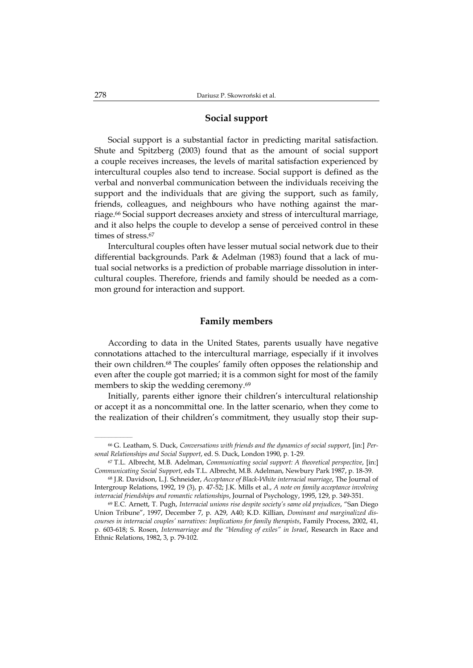# **Social support**

Social support is a substantial factor in predicting marital satisfaction. Shute and Spitzberg (2003) found that as the amount of social support a couple receives increases, the levels of marital satisfaction experienced by intercultural couples also tend to increase. Social support is defined as the verbal and nonverbal communication between the individuals receiving the support and the individuals that are giving the support, such as family, friends, colleagues, and neighbours who have nothing against the marriage.66 Social support decreases anxiety and stress of intercultural marriage, and it also helps the couple to develop a sense of perceived control in these times of stress.<sup>67</sup>

Intercultural couples often have lesser mutual social network due to their differential backgrounds. Park & Adelman (1983) found that a lack of mutual social networks is a prediction of probable marriage dissolution in intercultural couples. Therefore, friends and family should be needed as a common ground for interaction and support.

## **Family members**

According to data in the United States, parents usually have negative connotations attached to the intercultural marriage, especially if it involves their own children.68 The couples' family often opposes the relationship and even after the couple got married; it is a common sight for most of the family members to skip the wedding ceremony.<sup>69</sup>

Initially, parents either ignore their children's intercultural relationship or accept it as a noncommittal one. In the latter scenario, when they come to the realization of their children's commitment, they usually stop their sup-

<sup>66</sup> G. Leatham, S. Duck, *Conversations with friends and the dynamics of social support*, [in:] *Personal Relationships and Social Support*, ed. S. Duck, London 1990, p. 1-29.

<sup>67</sup> T.L. Albrecht, M.B. Adelman, *Communicating social support: A theoretical perspective*, [in:] *Communicating Social Support*, eds T.L. Albrecht, M.B. Adelman, Newbury Park 1987, p. 18-39.

<sup>68</sup> J.R. Davidson, L.J. Schneider, *Acceptance of Black-White interracial marriage*, The Journal of Intergroup Relations, 1992, 19 (3), p. 47-52; J.K. Mills et al., *A note on family acceptance involving interracial friendships and romantic relationships*, Journal of Psychology, 1995, 129, p. 349-351.

<sup>69</sup> E.C. Arnett, T. Pugh, *Interracial unions rise despite society's same old prejudices*, "San Diego Union Tribune", 1997, December 7, p. A29, A40; K.D. Killian, *Dominant and marginalized discourses in interracial couples' narratives: Implications for family therapists*, Family Process, 2002, 41, p. 603-618; S. Rosen, *Intermarriage and the "blending of exiles" in Israel*, Research in Race and Ethnic Relations, 1982, 3, p. 79-102.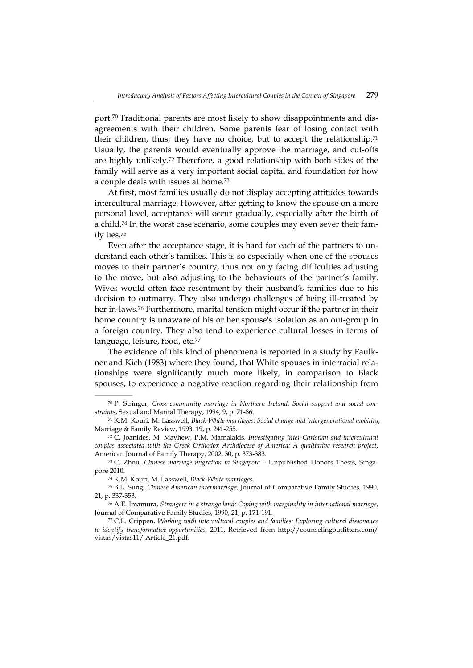port.70 Traditional parents are most likely to show disappointments and disagreements with their children. Some parents fear of losing contact with their children, thus; they have no choice, but to accept the relationship.71 Usually, the parents would eventually approve the marriage, and cut-offs are highly unlikely.72 Therefore, a good relationship with both sides of the family will serve as a very important social capital and foundation for how a couple deals with issues at home.73

At first, most families usually do not display accepting attitudes towards intercultural marriage. However, after getting to know the spouse on a more personal level, acceptance will occur gradually, especially after the birth of a child.74 In the worst case scenario, some couples may even sever their family ties.75

Even after the acceptance stage, it is hard for each of the partners to understand each other's families. This is so especially when one of the spouses moves to their partner's country, thus not only facing difficulties adjusting to the move, but also adjusting to the behaviours of the partner's family. Wives would often face resentment by their husband's families due to his decision to outmarry. They also undergo challenges of being ill-treated by her in-laws.76 Furthermore, marital tension might occur if the partner in their home country is unaware of his or her spouse's isolation as an out-group in a foreign country. They also tend to experience cultural losses in terms of language, leisure, food, etc.<sup>77</sup>

The evidence of this kind of phenomena is reported in a study by Faulkner and Kich (1983) where they found, that White spouses in interracial relationships were significantly much more likely, in comparison to Black spouses, to experience a negative reaction regarding their relationship from

74 K.M. Kouri, M. Lasswell, *Black-White marriages*.

<sup>70</sup> P. Stringer, *Cross-community marriage in Northern Ireland: Social support and social constraints*, Sexual and Marital Therapy, 1994, 9, p. 71-86.

<sup>71</sup> K.M. Kouri, M. Lasswell, *Black-White marriages: Social change and intergenerational mobility*, Marriage & Family Review, 1993, 19, p. 241-255.

<sup>72</sup> C. Joanides, M. Mayhew, P.M. Mamalakis, *Investigating inter-Christian and intercultural couples associated with the Greek Orthodox Archdiocese of America: A qualitative research project*, American Journal of Family Therapy, 2002, 30, p. 373-383.

<sup>73</sup> C. Zhou, *Chinese marriage migration in Singapore* – Unpublished Honors Thesis, Singapore 2010.

<sup>75</sup> B.L. Sung, *Chinese American intermarriage*, Journal of Comparative Family Studies, 1990, 21, p. 337-353.

<sup>76</sup> A.E. Imamura, *Strangers in a strange land: Coping with marginality in international marriage*, Journal of Comparative Family Studies, 1990, 21, p. 171-191.

<sup>77</sup> C.L. Crippen, *Working with intercultural couples and families: Exploring cultural dissonance to identify transformative opportunities*, 2011, Retrieved from http://counselingoutfitters.com/ vistas/vistas11/ Article\_21.pdf.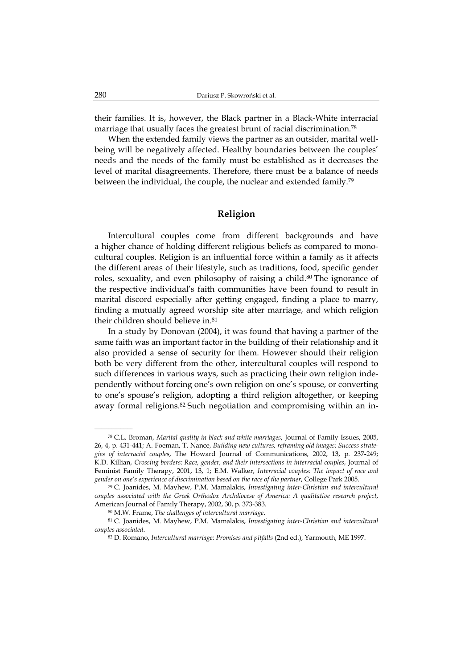their families. It is, however, the Black partner in a Black-White interracial marriage that usually faces the greatest brunt of racial discrimination.78

When the extended family views the partner as an outsider, marital wellbeing will be negatively affected. Healthy boundaries between the couples' needs and the needs of the family must be established as it decreases the level of marital disagreements. Therefore, there must be a balance of needs between the individual, the couple, the nuclear and extended family.<sup>79</sup>

# **Religion**

Intercultural couples come from different backgrounds and have a higher chance of holding different religious beliefs as compared to monocultural couples. Religion is an influential force within a family as it affects the different areas of their lifestyle, such as traditions, food, specific gender roles, sexuality, and even philosophy of raising a child.<sup>80</sup> The ignorance of the respective individual's faith communities have been found to result in marital discord especially after getting engaged, finding a place to marry, finding a mutually agreed worship site after marriage, and which religion their children should believe in.81

In a study by Donovan (2004), it was found that having a partner of the same faith was an important factor in the building of their relationship and it also provided a sense of security for them. However should their religion both be very different from the other, intercultural couples will respond to such differences in various ways, such as practicing their own religion independently without forcing one's own religion on one's spouse, or converting to one's spouse's religion, adopting a third religion altogether, or keeping away formal religions.<sup>82</sup> Such negotiation and compromising within an in-

<sup>78</sup> C.L. Broman, *Marital quality in black and white marriages*, Journal of Family Issues, 2005, 26, 4, p. 431-441; A. Foeman, T. Nance, *Building new cultures, reframing old images: Success strategies of interracial couples*, The Howard Journal of Communications, 2002, 13, p. 237-249; K.D. Killian, *Crossing borders: Race, gender, and their intersections in interracial couples*, Journal of Feminist Family Therapy, 2001, 13, 1; E.M. Walker, *Interracial couples: The impact of race and gender on one's experience of discrimination based on the race of the partner*, College Park 2005.

<sup>79</sup> C. Joanides, M. Mayhew, P.M. Mamalakis, *Investigating inter-Christian and intercultural couples associated with the Greek Orthodox Archdiocese of America: A qualitative research project*, American Journal of Family Therapy, 2002, 30, p. 373-383.

<sup>80</sup> M.W. Frame, *The challenges of intercultural marriage*.

<sup>81</sup> C. Joanides, M. Mayhew, P.M. Mamalakis, *Investigating inter-Christian and intercultural couples associated*.

<sup>82</sup> D. Romano, *Intercultural marriage: Promises and pitfalls* (2nd ed.), Yarmouth, ME 1997.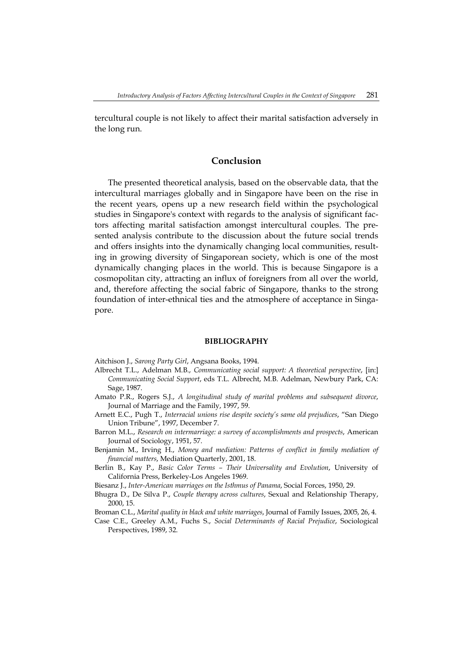tercultural couple is not likely to affect their marital satisfaction adversely in the long run.

## **Conclusion**

The presented theoretical analysis, based on the observable data, that the intercultural marriages globally and in Singapore have been on the rise in the recent years, opens up a new research field within the psychological studies in Singapore's context with regards to the analysis of significant factors affecting marital satisfaction amongst intercultural couples. The presented analysis contribute to the discussion about the future social trends and offers insights into the dynamically changing local communities, resulting in growing diversity of Singaporean society, which is one of the most dynamically changing places in the world. This is because Singapore is a cosmopolitan city, attracting an influx of foreigners from all over the world, and, therefore affecting the social fabric of Singapore, thanks to the strong foundation of inter-ethnical ties and the atmosphere of acceptance in Singapore.

#### **BIBLIOGRAPHY**

Aitchison J., *Sarong Party Girl*, Angsana Books, 1994.

- Albrecht T.L., Adelman M.B., *Communicating social support: A theoretical perspective*, [in:] *Communicating Social Support*, eds T.L. Albrecht, M.B. Adelman, Newbury Park, CA: Sage, 1987.
- Amato P.R., Rogers S.J., *A longitudinal study of marital problems and subsequent divorce*, Journal of Marriage and the Family, 1997, 59.
- Arnett E.C., Pugh T., *Interracial unions rise despite society's same old prejudices*, "San Diego Union Tribune", 1997, December 7.
- Barron M.L., *Research on intermarriage: a survey of accomplishments and prospects*, American Journal of Sociology, 1951, 57.
- Benjamin M., Irving H., *Money and mediation: Patterns of conflict in family mediation of financial matters*, Mediation Quarterly, 2001, 18.
- Berlin B., Kay P., *Basic Color Terms Their Universality and Evolution*, University of California Press, Berkeley-Los Angeles 1969.
- Biesanz J., *Inter-American marriages on the Isthmus of Panama*, Social Forces, 1950, 29.
- Bhugra D., De Silva P., *Couple therapy across cultures*, Sexual and Relationship Therapy, 2000, 15.
- Broman C.L., *Marital quality in black and white marriages*, Journal of Family Issues, 2005, 26, 4.
- Case C.E., Greeley A.M., Fuchs S., *Social Determinants of Racial Prejudice*, Sociological Perspectives, 1989, 32.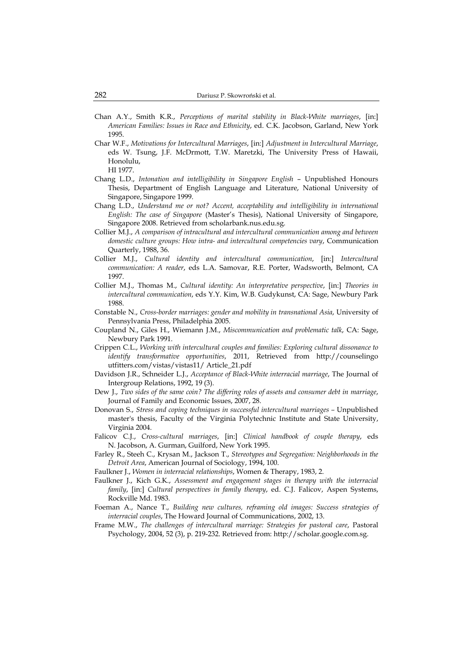- Chan A.Y., Smith K.R., *Perceptions of marital stability in Black-White marriages*, [in:] *American Families: Issues in Race and Ethnicity*, ed. C.K. Jacobson, Garland, New York 1995.
- Char W.F., *Motivations for Intercultural Marriages*, [in:] *Adjustment in Intercultural Marriage*, eds W. Tsung, J.F. McDrmott, T.W. Maretzki, The University Press of Hawaii, Honolulu, HI 1977.
- Chang L.D., *Intonation and intelligibility in Singapore English* Unpublished Honours Thesis, Department of English Language and Literature, National University of Singapore, Singapore 1999.
- Chang L.D., *Understand me or not? Accent, acceptability and intelligibility in international English: The case of Singapore* (Master's Thesis), National University of Singapore, Singapore 2008. Retrieved from scholarbank.nus.edu.sg.
- Collier M.J., *A comparison of intracultural and intercultural communication among and between domestic culture groups: How intra- and intercultural competencies vary*, Communication Quarterly, 1988, 36.
- Collier M.J., *Cultural identity and intercultural communication*, [in:] *Intercultural communication: A reader*, eds L.A. Samovar, R.E. Porter, Wadsworth, Belmont, CA 1997.
- Collier M.J., Thomas M., *Cultural identity: An interpretative perspective*, [in:] *Theories in intercultural communication*, eds Y.Y. Kim, W.B. Gudykunst, CA: Sage, Newbury Park 1988.
- Constable N., *Cross-border marriages: gender and mobility in transnational Asia*, University of Pennsylvania Press, Philadelphia 2005.
- Coupland N., Giles H., Wiemann J.M., *Miscommunication and problematic talk*, CA: Sage, Newbury Park 1991.
- Crippen C.L., *Working with intercultural couples and families: Exploring cultural dissonance to identify transformative opportunities*, 2011, Retrieved from http://counselingo utfitters.com/vistas/vistas11/ Article\_21.pdf
- Davidson J.R., Schneider L.J., *Acceptance of Black-White interracial marriage*, The Journal of Intergroup Relations, 1992, 19 (3).
- Dew J., *Two sides of the same coin? The differing roles of assets and consumer debt in marriage*, Journal of Family and Economic Issues, 2007, 28.
- Donovan S., *Stress and coping techniques in successful intercultural marriages –* Unpublished master's thesis, Faculty of the Virginia Polytechnic Institute and State University, Virginia 2004.
- Falicov C.J., *Cross-cultural marriages*, [in:] *Clinical handbook of couple therapy*, eds N. Jacobson, A. Gurman, Guilford, New York 1995.
- Farley R., Steeh C., Krysan M., Jackson T., *Stereotypes and Segregation: Neighborhoods in the Detroit Area*, American Journal of Sociology, 1994, 100.
- Faulkner J., *Women in interracial relationships*, Women & Therapy, 1983, 2.
- Faulkner J., Kich G.K., *Assessment and engagement stages in therapy with the interracial family*, [in:] *Cultural perspectives in family therapy*, ed. C.J. Falicov, Aspen Systems, Rockville Md. 1983.
- Foeman A., Nance T., *Building new cultures, reframing old images: Success strategies of interracial couples*, The Howard Journal of Communications, 2002, 13.
- Frame M.W., *The challenges of intercultural marriage: Strategies for pastoral care*, Pastoral Psychology, 2004, 52 (3), p. 219-232. Retrieved from: http://scholar.google.com.sg.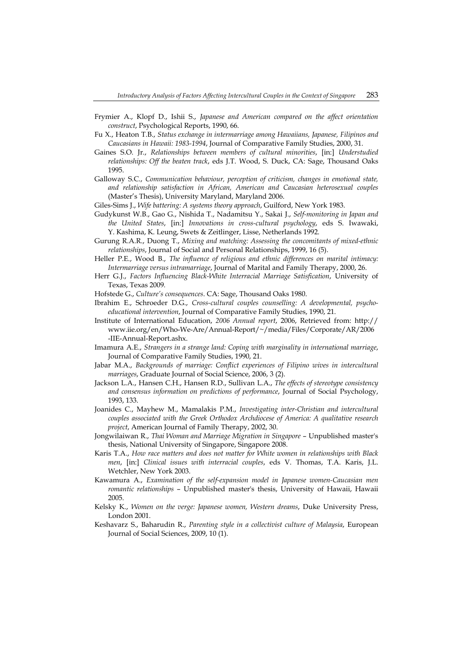- Frymier A., Klopf D., Ishii S., *Japanese and American compared on the affect orientation construct*, Psychological Reports, 1990, 66.
- Fu X., Heaton T.B., *Status exchange in intermarriage among Hawaiians, Japanese, Filipinos and Caucasians in Hawaii: 1983-1994*, Journal of Comparative Family Studies, 2000, 31.
- Gaines S.O. Jr., *Relationships between members of cultural minorities*, [in:] *Understudied relationships: Off the beaten track*, eds J.T. Wood, S. Duck, CA: Sage, Thousand Oaks 1995.
- Galloway S.C., *Communication behaviour, perception of criticism, changes in emotional state, and relationship satisfaction in African, American and Caucasian heterosexual couples* (Master's Thesis), University Maryland, Maryland 2006.
- Giles-Sims J., *Wife battering: A systems theory approach*, Guilford, New York 1983.
- Gudykunst W.B., Gao G., Nishida T., Nadamitsu Y., Sakai J., *Self-monitoring in Japan and the United States*, [in:] *Innovations in cross-cultural psychology*, eds S. Iwawaki, Y. Kashima, K. Leung, Swets & Zeitlinger, Lisse, Netherlands 1992.
- Gurung R.A.R., Duong T., *Mixing and matching: Assessing the concomitants of mixed-ethnic relationships*, Journal of Social and Personal Relationships, 1999, 16 (5).
- Heller P.E., Wood B., *The influence of religious and ethnic differences on marital intimacy: Intermarriage versus intramarriage*, Journal of Marital and Family Therapy, 2000, 26.
- Herr G.J., *Factors Influencing Black-White Interracial Marriage Satisfication*, University of Texas, Texas 2009*.*
- Hofstede G., *Culture's consequences*. CA: Sage, Thousand Oaks 1980.
- Ibrahim E., Schroeder D.G., *Cross-cultural couples counselling: A developmental, psychoeducational intervention*, Journal of Comparative Family Studies, 1990, 21.
- Institute of International Education, *2006 Annual report*, 2006, Retrieved from: http:// www.iie.org/en/Who-We-Are/Annual-Report/~/media/Files/Corporate/AR/2006 -IIE-Annual-Report.ashx.
- Imamura A.E., *Strangers in a strange land: Coping with marginality in international marriage*, Journal of Comparative Family Studies, 1990, 21.
- Jabar M.A., *Backgrounds of marriage: Conflict experiences of Filipino wives in intercultural marriages*, Graduate Journal of Social Science, 2006, 3 (2).
- Jackson L.A., Hansen C.H., Hansen R.D., Sullivan L.A., *The effects of stereotype consistency and consensus information on predictions of performance*, Journal of Social Psychology, 1993, 133.
- Joanides C., Mayhew M., Mamalakis P.M., *Investigating inter-Christian and intercultural couples associated with the Greek Orthodox Archdiocese of America: A qualitative research project*, American Journal of Family Therapy, 2002, 30.
- Jongwilaiwan R., *Thai Woman and Marriage Migration in Singapore* Unpublished master's thesis, National University of Singapore, Singapore 2008.
- Karis T.A., *How race matters and does not matter for White women in relationships with Black men*, [in:] *Clinical issues with interracial couples*, eds V. Thomas, T.A. Karis, J.L. Wetchler, New York 2003.
- Kawamura A., *Examination of the self-expansion model in Japanese women-Caucasian men romantic relationships* – Unpublished master's thesis, University of Hawaii, Hawaii 2005.
- Kelsky K., *Women on the verge: Japanese women, Western dreams*, Duke University Press, London 2001.
- Keshavarz S., Baharudin R., *Parenting style in a collectivist culture of Malaysia*, European Journal of Social Sciences, 2009, 10 (1).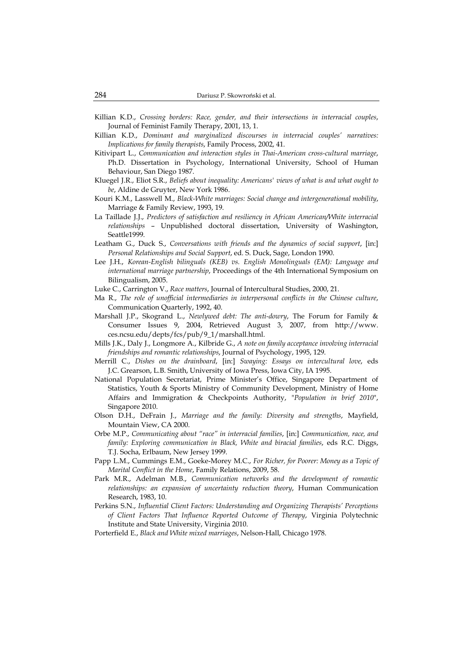- Killian K.D., *Crossing borders: Race, gender, and their intersections in interracial couples*, Journal of Feminist Family Therapy, 2001, 13, 1.
- Killian K.D., *Dominant and marginalized discourses in interracial couples' narratives: Implications for family therapists*, Family Process, 2002, 41.
- Kitivipart L., *Communication and interaction styles in Thai-American cross-cultural marriage*, Ph.D. Dissertation in Psychology, International University, School of Human Behaviour, San Diego 1987.
- Kluegel J.R., Eliot S.R., *Beliefs about inequality: Americans' views of what is and what ought to be*, Aldine de Gruyter, New York 1986.
- Kouri K.M., Lasswell M., *Black-White marriages: Social change and intergenerational mobility*, Marriage & Family Review, 1993, 19.
- La Taillade J.J., Predictors of satisfaction and resiliency in African American/White interracial *relationships* – Unpublished doctoral dissertation, University of Washington, Seattle1999.
- Leatham G., Duck S., *Conversations with friends and the dynamics of social support*, [in:] *Personal Relationships and Social Support*, ed. S. Duck, Sage, London 1990.
- Lee J.H., *Korean-English bilinguals (KEB) vs. English Monolinguals (EM): Language and international marriage partnership*, Proceedings of the 4th International Symposium on Bilingualism, 2005.
- Luke C., Carrington V., *Race matters*, Journal of Intercultural Studies, 2000, 21.
- Ma R., *The role of unofficial intermediaries in interpersonal conflicts in the Chinese culture*, Communication Quarterly, 1992, 40.
- Marshall J.P., Skogrand L., *Newlywed debt: The anti-dowry*, The Forum for Family & Consumer Issues 9, 2004, Retrieved August 3, 2007, from http://www. ces.ncsu.edu/depts/fcs/pub/9\_1/marshall.html.
- Mills J.K., Daly J., Longmore A., Kilbride G., *A note on family acceptance involving interracial friendships and romantic relationships*, Journal of Psychology, 1995, 129.
- Merrill C., *Dishes on the drainboard*, [in:] *Swaying: Essays on intercultural love*, eds J.C. Grearson, L.B. Smith, University of Iowa Press, Iowa City, IA 1995.
- National Population Secretariat, Prime Minister's Office, Singapore Department of Statistics, Youth & Sports Ministry of Community Development, Ministry of Home Affairs and Immigration & Checkpoints Authority, "*Population in brief 2010*", Singapore 2010.
- Olson D.H., DeFrain J., *Marriage and the family: Diversity and strengths*, Mayfield, Mountain View, CA 2000.
- Orbe M.P., *Communicating about "race" in interracial families*, [in:] *Communication, race, and family: Exploring communication in Black, White and biracial families*, eds R.C. Diggs, T.J. Socha, Erlbaum, New Jersey 1999.
- Papp L.M., Cummings E.M., Goeke-Morey M.C., *For Richer, for Poorer: Money as a Topic of Marital Conflict in the Home*, Family Relations, 2009, 58.
- Park M.R., Adelman M.B., *Communication networks and the development of romantic relationships: an expansion of uncertainty reduction theory*, Human Communication Research, 1983, 10.
- Perkins S.N., *Influential Client Factors: Understanding and Organizing Therapists' Perceptions of Client Factors That Influence Reported Outcome of Therapy*, Virginia Polytechnic Institute and State University, Virginia 2010.
- Porterfield E., *Black and White mixed marriages*, Nelson-Hall, Chicago 1978.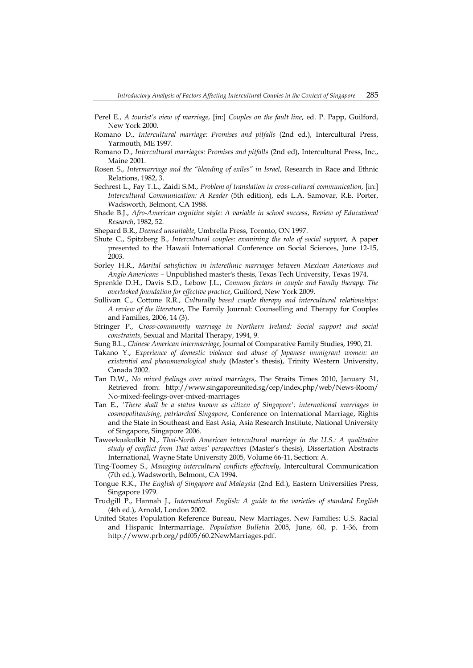- Perel E., *A tourist's view of marriage*, [in:] *Couples on the fault line*, ed. P. Papp, Guilford, New York 2000.
- Romano D., *Intercultural marriage: Promises and pitfalls* (2nd ed.), Intercultural Press, Yarmouth, ME 1997.
- Romano D., *Intercultural marriages: Promises and pitfalls* (2nd ed), Intercultural Press, Inc., Maine 2001.
- Rosen S., *Intermarriage and the "blending of exiles" in Israel*, Research in Race and Ethnic Relations, 1982, 3.
- Sechrest L., Fay T.L., Zaidi S.M., *Problem of translation in cross-cultural communication*, [in:] *Intercultural Communication: A Reader* (5th edition), eds L.A. Samovar, R.E. Porter, Wadsworth, Belmont, CA 1988.
- Shade B.J., *Afro-American cognitive style: A variable in school success*, *Review of Educational Research*, 1982, 52.
- Shepard B.R., *Deemed unsuitable*, Umbrella Press, Toronto, ON 1997.
- Shute C., Spitzberg B., *Intercultural couples: examining the role of social support*, A paper presented to the Hawaii International Conference on Social Sciences, June 12-15, 2003.
- Sorley H.R., *Marital satisfaction in interethnic marriages between Mexican Americans and Anglo Americans* – Unpublished master's thesis, Texas Tech University, Texas 1974.
- Sprenkle D.H., Davis S.D., Lebow J.L., *Common factors in couple and Family therapy: The overlooked foundation for effective practice*, Guilford, New York 2009.
- Sullivan C., Cottone R.R., *Culturally based couple therapy and intercultural relationships: A review of the literature*, The Family Journal: Counselling and Therapy for Couples and Families, 2006, 14 (3).
- Stringer P., *Cross-community marriage in Northern Ireland: Social support and social constraints*, Sexual and Marital Therapy, 1994, 9.
- Sung B.L., *Chinese American intermarriage*, Journal of Comparative Family Studies, 1990, 21.
- Takano Y., *Experience of domestic violence and abuse of Japanese immigrant women: an existential and phenomenological study* (Master's thesis), Trinity Western University, Canada 2002.
- Tan D.W., *No mixed feelings over mixed marriages*, The Straits Times 2010, January 31, Retrieved from: http://www.singaporeunited.sg/cep/index.php/web/News-Room/ No-mixed-feelings-over-mixed-marriages
- Tan E., *'There shall be a status known as citizen of Singapore': international marriages in cosmopolitanising, patriarchal Singapore*, Conference on International Marriage, Rights and the State in Southeast and East Asia, Asia Research Institute, National University of Singapore, Singapore 2006.
- Taweekuakulkit N., *Thai-North American intercultural marriage in the U.S.: A qualitative study of conflict from Thai wives' perspectives* (Master's thesis), Dissertation Abstracts International, Wayne State University 2005, Volume 66-11, Section: A.
- Ting-Toomey S., *Managing intercultural conflicts effectively*, Intercultural Communication (7th ed.), Wadsworth, Belmont, CA 1994.
- Tongue R.K., *The English of Singapore and Malaysia* (2nd Ed.), Eastern Universities Press, Singapore 1979.
- Trudgill P., Hannah J., *International English: A guide to the varieties of standard English* (4th ed.), Arnold, London 2002.
- United States Population Reference Bureau, New Marriages, New Families: U.S. Racial and Hispanic Intermarriage. *Population Bulletin* 2005, June, 60, p. 1-36, from http://www.prb.org/pdf05/60.2NewMarriages.pdf.